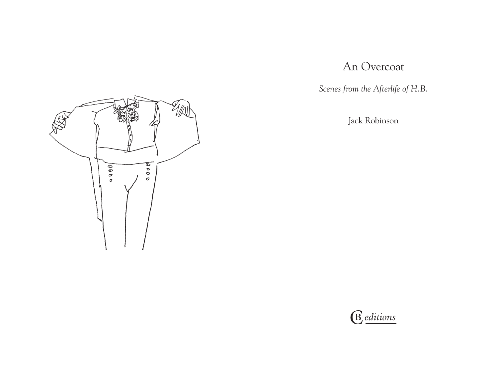## An Overcoat

*Scenes from the Afterlife of H.B.*

Jack Robinson



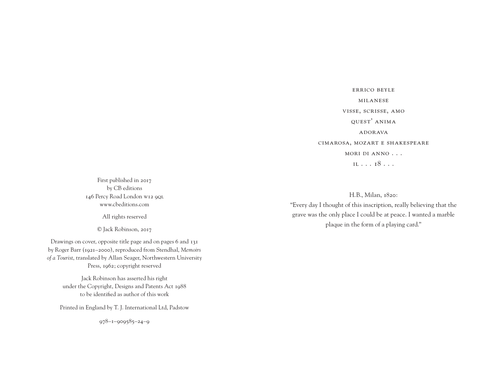errico beyle milanese visse, scrisse, amo quest' anima **ADORAVA** cimarosa, mozart e shakespeare mori di anno . . . il . . . 18 . . .

First published in 2017 by CB editions 146 Percy Road London w12 9QL www.cbeditions.com

All rights reserved

© Jack Robinson, 2017

Drawings on cover, opposite title page and on pages 6 and 131 by Roger Barr (1921–2000), reproduced from Stendhal, *Memoirs of a Tourist*, translated by Allan Seager, Northwestern University Press, 1962; copyright reserved

Jack Robinson has asserted his right under the Copyright, Designs and Patents Act 1988 to be identified as author of this work

Printed in England by T. J. International Ltd, Padstow

978–1–909585–24–9

H.B., Milan, 1820: "Every day I thought of this inscription, really believing that the grave was the only place I could be at peace. I wanted a marble plaque in the form of a playing card."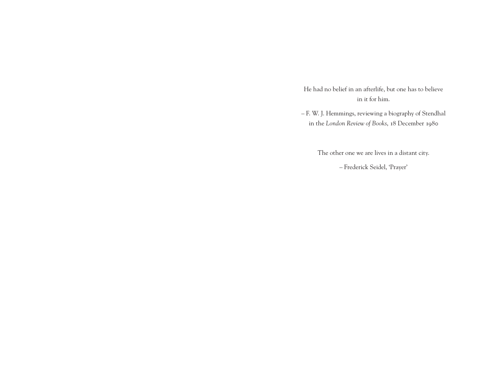He had no belief in an afterlife, but one has to believe in it for him.

– F. W. J. Hemmings, reviewing a biography of Stendhal in the *London Review of Books*, 18 December 1980

The other one we are lives in a distant city.

– Frederick Seidel, 'Prayer'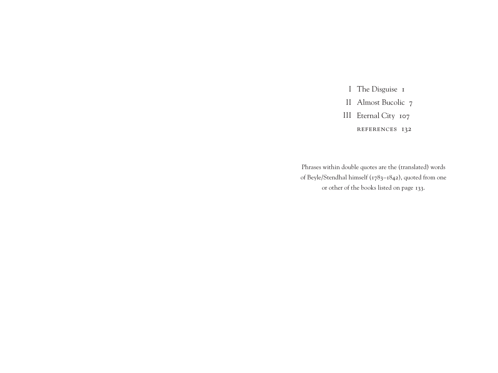I The Disguise 1 Almost Bucolic 7 II

III Eternal City 107

references 132

Phrases within double quotes are the (translated) words of Beyle/Stendhal himself (1783–1842), quoted from one or other of the books listed on page 133.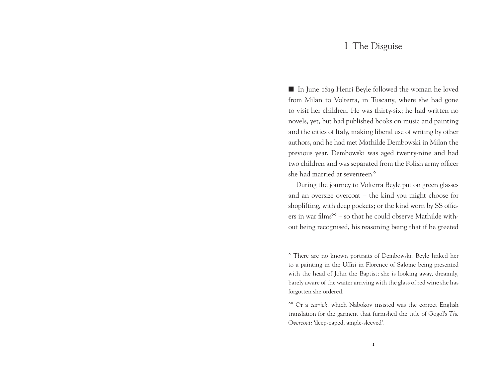## I The Disguise

■ In June 1819 Henri Beyle followed the woman he loved from Milan to Volterra, in Tuscany, where she had gone to visit her children. He was thirty-six; he had written no novels, yet, but had published books on music and painting and the cities of Italy, making liberal use of writing by other authors, and he had met Mathilde Dembowski in Milan the previous year. Dembowski was aged twenty-nine and had two children and was separated from the Polish army officer she had married at seventeen.°

During the journey to Volterra Beyle put on green glasses and an oversize overcoat – the kind you might choose for shoplifting, with deep pockets; or the kind worn by SS officers in war films°° – so that he could observe Mathilde without being recognised, his reasoning being that if he greeted

<sup>°</sup> There are no known portraits of Dembowski. Beyle linked her to a painting in the Uffizi in Florence of Salome being presented with the head of John the Baptist; she is looking away, dreamily, barely aware of the waiter arriving with the glass of red wine she has forgotten she ordered.

<sup>°°</sup> Or a *carrick*, which Nabokov insisted was the correct English translation for the garment that furnished the title of Gogol's *The Overcoat*: 'deep-caped, ample-sleeved'.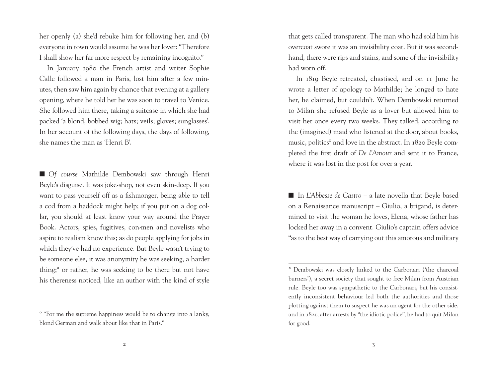her openly (a) she'd rebuke him for following her, and (b) everyone in town would assume he was her lover: "Therefore I shall show her far more respect by remaining incognito."

In January 1980 the French artist and writer Sophie Calle followed a man in Paris, lost him after a few minutes, then saw him again by chance that evening at a gallery opening, where he told her he was soon to travel to Venice. She followed him there, taking a suitcase in which she had packed 'a blond, bobbed wig; hats; veils; gloves; sunglasses'. In her account of the following days, the days of following, she names the man as 'Henri B'.

■ Of course Mathilde Dembowski saw through Henri Beyle's disguise. It was joke-shop, not even skin-deep. If you want to pass yourself off as a fishmonger, being able to tell a cod from a haddock might help; if you put on a dog collar, you should at least know your way around the Prayer Book. Actors, spies, fugitives, con-men and novelists who aspire to realism know this; as do people applying for jobs in which they've had no experience. But Beyle wasn't trying to be someone else, it was anonymity he was seeking, a harder thing;° or rather, he was seeking to be there but not have his thereness noticed, like an author with the kind of style

° "For me the supreme happiness would be to change into a lanky, blond German and walk about like that in Paris."

that gets called transparent. The man who had sold him his overcoat swore it was an invisibility coat. But it was secondhand, there were rips and stains, and some of the invisibility had worn off.

In 1819 Beyle retreated, chastised, and on 11 June he wrote a letter of apology to Mathilde; he longed to hate her, he claimed, but couldn't. When Dembowski returned to Milan she refused Beyle as a lover but allowed him to visit her once every two weeks. They talked, according to the (imagined) maid who listened at the door, about books, music, politics° and love in the abstract. In 1820 Beyle completed the first draft of *De l'Amour* and sent it to France, where it was lost in the post for over a year.

■ In *L'Abbesse de Castro* – a late novella that Beyle based on a Renaissance manuscript – Giulio, a brigand, is determined to visit the woman he loves, Elena, whose father has locked her away in a convent. Giulio's captain offers advice "as to the best way of carrying out this amorous and military

<sup>°</sup> Dembowski was closely linked to the Carbonari ('the charcoal burners'), a secret society that sought to free Milan from Austrian rule. Beyle too was sympathetic to the Carbonari, but his consistently inconsistent behaviour led both the authorities and those plotting against them to suspect he was an agent for the other side, and in 1821, after arrests by "the idiotic police", he had to quit Milan for good.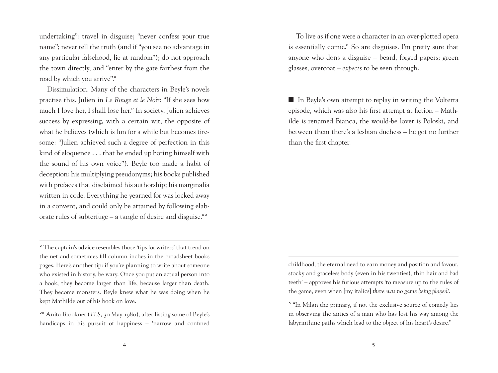undertaking": travel in disguise; "never confess your true name"; never tell the truth (and if "you see no advantage in any particular falsehood, lie at random"); do not approach the town directly, and "enter by the gate farthest from the road by which you arrive".°

Dissimulation. Many of the characters in Beyle's novels practise this. Julien in *Le Rouge et le Noir*: "If she sees how much I love her, I shall lose her." In society, Julien achieves success by expressing, with a certain wit, the opposite of what he believes (which is fun for a while but becomes tiresome: "Julien achieved such a degree of perfection in this kind of eloquence . . . that he ended up boring himself with the sound of his own voice"). Beyle too made a habit of deception: his multiplying pseudonyms; his books published with prefaces that disclaimed his authorship; his marginalia written in code. Everything he yearned for was locked away in a convent, and could only be attained by following elaborate rules of subterfuge – a tangle of desire and disguise.°°

To live as if one were a character in an over-plotted opera is essentially comic.° So are disguises. I'm pretty sure that anyone who dons a disguise – beard, forged papers; green glasses, overcoat – *expects* to be seen through.

■ In Beyle's own attempt to replay in writing the Volterra episode, which was also his first attempt at fiction – Mathilde is renamed Bianca, the would-be lover is Poloski, and between them there's a lesbian duchess – he got no further than the first chapter.

<sup>°</sup> The captain's advice resembles those 'tips for writers' that trend on the net and sometimes fill column inches in the broadsheet books pages. Here's another tip: if you're planning to write about someone who existed in history, be wary. Once you put an actual person into a book, they become larger than life, because larger than death. They become monsters. Beyle knew what he was doing when he kept Mathilde out of his book on love.

<sup>°°</sup> Anita Brookner (*TLS*, 30 May 1980), after listing some of Beyle's handicaps in his pursuit of happiness – 'narrow and confined

childhood, the eternal need to earn money and position and favour, stocky and graceless body (even in his twenties), thin hair and bad teeth' – approves his furious attempts 'to measure up to the rules of the game, even when [my italics] *there was no game being played*'.

<sup>° &</sup>quot;In Milan the primary, if not the exclusive source of comedy lies in observing the antics of a man who has lost his way among the labyrinthine paths which lead to the object of his heart's desire."